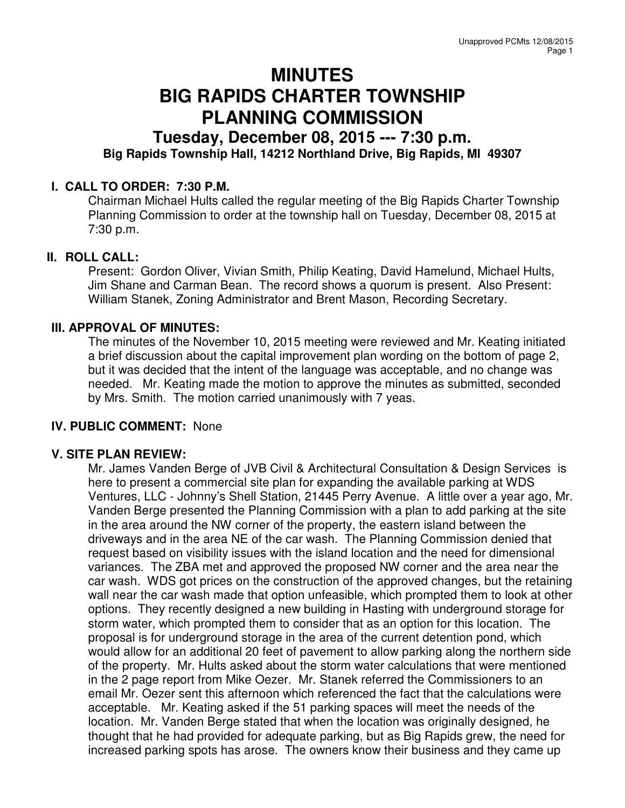# **MINUTES BIG RAPIDS CHARTER TOWNSHIP PLANNING COMMISSION**

## **Tuesday, December 08, 2015 --- 7:30 p.m. Big Rapids Township Hall, 14212 Northland Drive, Big Rapids, MI 49307**

### **I. CALL TO ORDER: 7:30 P.M.**

Chairman Michael Hults called the regular meeting of the Big Rapids Charter Township Planning Commission to order at the township hall on Tuesday, December 08, 2015 at 7:30 p.m.

#### **II. ROLL CALL:**

Present: Gordon Oliver, Vivian Smith, Philip Keating, David Hamelund, Michael Hults, Jim Shane and Carman Bean. The record shows a quorum is present. Also Present: William Stanek, Zoning Administrator and Brent Mason, Recording Secretary.

#### **III. APPROVAL OF MINUTES:**

The minutes of the November 10, 2015 meeting were reviewed and Mr. Keating initiated a brief discussion about the capital improvement plan wording on the bottom of page 2, but it was decided that the intent of the language was acceptable, and no change was needed. Mr. Keating made the motion to approve the minutes as submitted, seconded by Mrs. Smith. The motion carried unanimously with 7 yeas.

#### **IV. PUBLIC COMMENT:** None

#### **V. SITE PLAN REVIEW:**

Mr. James Vanden Berge of JVB Civil & Architectural Consultation & Design Services is here to present a commercial site plan for expanding the available parking at WDS Ventures, LLC - Johnny's Shell Station, 21445 Perry Avenue. A little over a year ago, Mr. Vanden Berge presented the Planning Commission with a plan to add parking at the site in the area around the NW corner of the property, the eastern island between the driveways and in the area NE of the car wash. The Planning Commission denied that request based on visibility issues with the island location and the need for dimensional variances. The ZBA met and approved the proposed NW corner and the area near the car wash. WDS got prices on the construction of the approved changes, but the retaining wall near the car wash made that option unfeasible, which prompted them to look at other options. They recently designed a new building in Hasting with underground storage for storm water, which prompted them to consider that as an option for this location. The proposal is for underground storage in the area of the current detention pond, which would allow for an additional 20 feet of pavement to allow parking along the northern side of the property. Mr. Hults asked about the storm water calculations that were mentioned in the 2 page report from Mike Oezer. Mr. Stanek referred the Commissioners to an email Mr. Oezer sent this afternoon which referenced the fact that the calculations were acceptable. Mr. Keating asked if the 51 parking spaces will meet the needs of the location. Mr. Vanden Berge stated that when the location was originally designed, he thought that he had provided for adequate parking, but as Big Rapids grew, the need for increased parking spots has arose. The owners know their business and they came up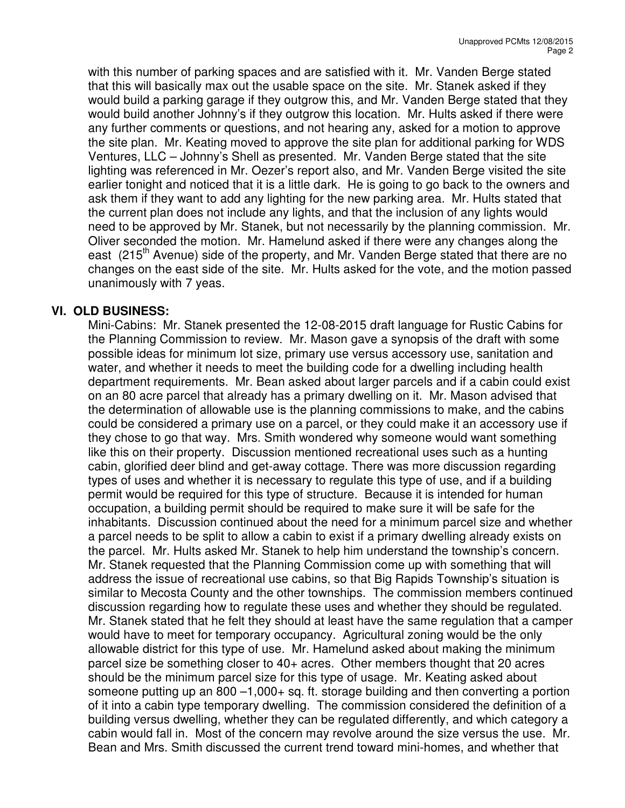with this number of parking spaces and are satisfied with it. Mr. Vanden Berge stated that this will basically max out the usable space on the site. Mr. Stanek asked if they would build a parking garage if they outgrow this, and Mr. Vanden Berge stated that they would build another Johnny's if they outgrow this location. Mr. Hults asked if there were any further comments or questions, and not hearing any, asked for a motion to approve the site plan. Mr. Keating moved to approve the site plan for additional parking for WDS Ventures, LLC – Johnny's Shell as presented. Mr. Vanden Berge stated that the site lighting was referenced in Mr. Oezer's report also, and Mr. Vanden Berge visited the site earlier tonight and noticed that it is a little dark. He is going to go back to the owners and ask them if they want to add any lighting for the new parking area. Mr. Hults stated that the current plan does not include any lights, and that the inclusion of any lights would need to be approved by Mr. Stanek, but not necessarily by the planning commission. Mr. Oliver seconded the motion. Mr. Hamelund asked if there were any changes along the east (215<sup>th</sup> Avenue) side of the property, and Mr. Vanden Berge stated that there are no changes on the east side of the site. Mr. Hults asked for the vote, and the motion passed unanimously with 7 yeas.

#### **VI. OLD BUSINESS:**

Mini-Cabins: Mr. Stanek presented the 12-08-2015 draft language for Rustic Cabins for the Planning Commission to review. Mr. Mason gave a synopsis of the draft with some possible ideas for minimum lot size, primary use versus accessory use, sanitation and water, and whether it needs to meet the building code for a dwelling including health department requirements. Mr. Bean asked about larger parcels and if a cabin could exist on an 80 acre parcel that already has a primary dwelling on it. Mr. Mason advised that the determination of allowable use is the planning commissions to make, and the cabins could be considered a primary use on a parcel, or they could make it an accessory use if they chose to go that way. Mrs. Smith wondered why someone would want something like this on their property. Discussion mentioned recreational uses such as a hunting cabin, glorified deer blind and get-away cottage. There was more discussion regarding types of uses and whether it is necessary to regulate this type of use, and if a building permit would be required for this type of structure. Because it is intended for human occupation, a building permit should be required to make sure it will be safe for the inhabitants. Discussion continued about the need for a minimum parcel size and whether a parcel needs to be split to allow a cabin to exist if a primary dwelling already exists on the parcel. Mr. Hults asked Mr. Stanek to help him understand the township's concern. Mr. Stanek requested that the Planning Commission come up with something that will address the issue of recreational use cabins, so that Big Rapids Township's situation is similar to Mecosta County and the other townships. The commission members continued discussion regarding how to regulate these uses and whether they should be regulated. Mr. Stanek stated that he felt they should at least have the same regulation that a camper would have to meet for temporary occupancy. Agricultural zoning would be the only allowable district for this type of use. Mr. Hamelund asked about making the minimum parcel size be something closer to 40+ acres. Other members thought that 20 acres should be the minimum parcel size for this type of usage. Mr. Keating asked about someone putting up an  $800 - 1,000 +$  sq. ft. storage building and then converting a portion of it into a cabin type temporary dwelling. The commission considered the definition of a building versus dwelling, whether they can be regulated differently, and which category a cabin would fall in. Most of the concern may revolve around the size versus the use. Mr. Bean and Mrs. Smith discussed the current trend toward mini-homes, and whether that